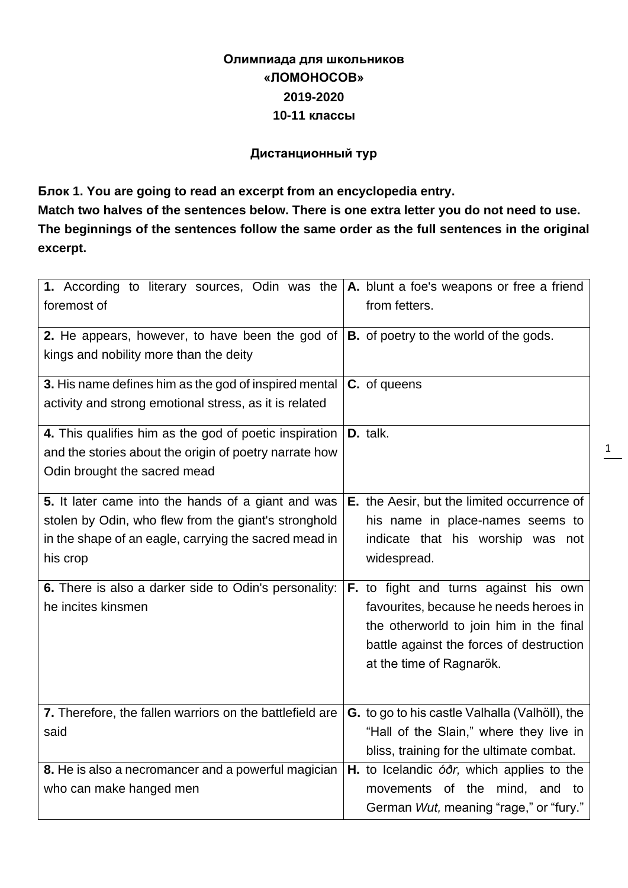# **Олимпиада для школьников «ЛОМОНОСОВ» 2019-2020 10-11 классы**

### **Дистанционный тур**

**Блок 1. You are going to read an excerpt from an encyclopedia entry.** 

**Match two halves of the sentences below. There is one extra letter you do not need to use. The beginnings of the sentences follow the same order as the full sentences in the original excerpt.**

| 1. According to literary sources, Odin was the<br>foremost of                                                   | A. blunt a foe's weapons or free a friend<br>from fetters. |
|-----------------------------------------------------------------------------------------------------------------|------------------------------------------------------------|
| 2. He appears, however, to have been the god of<br>kings and nobility more than the deity                       | <b>B.</b> of poetry to the world of the gods.              |
| 3. His name defines him as the god of inspired mental<br>activity and strong emotional stress, as it is related | C. of queens                                               |
| 4. This qualifies him as the god of poetic inspiration                                                          | D. talk.                                                   |
| and the stories about the origin of poetry narrate how                                                          |                                                            |
| Odin brought the sacred mead                                                                                    |                                                            |
| 5. It later came into the hands of a giant and was                                                              | E. the Aesir, but the limited occurrence of                |
| stolen by Odin, who flew from the giant's stronghold                                                            | his name in place-names seems to                           |
| in the shape of an eagle, carrying the sacred mead in                                                           | indicate that his worship was not                          |
| his crop                                                                                                        | widespread.                                                |
| 6. There is also a darker side to Odin's personality:                                                           | F. to fight and turns against his own                      |
| he incites kinsmen                                                                                              | favourites, because he needs heroes in                     |
|                                                                                                                 | the otherworld to join him in the final                    |
|                                                                                                                 | battle against the forces of destruction                   |
|                                                                                                                 | at the time of Ragnarök.                                   |
|                                                                                                                 |                                                            |
| 7. Therefore, the fallen warriors on the battlefield are                                                        | G. to go to his castle Valhalla (Valhöll), the             |
| said                                                                                                            | "Hall of the Slain," where they live in                    |
|                                                                                                                 | bliss, training for the ultimate combat.                   |
| 8. He is also a necromancer and a powerful magician                                                             | H. to Icelandic óðr, which applies to the                  |
| who can make hanged men                                                                                         | movements of the mind, and to                              |
|                                                                                                                 | German Wut, meaning "rage," or "fury."                     |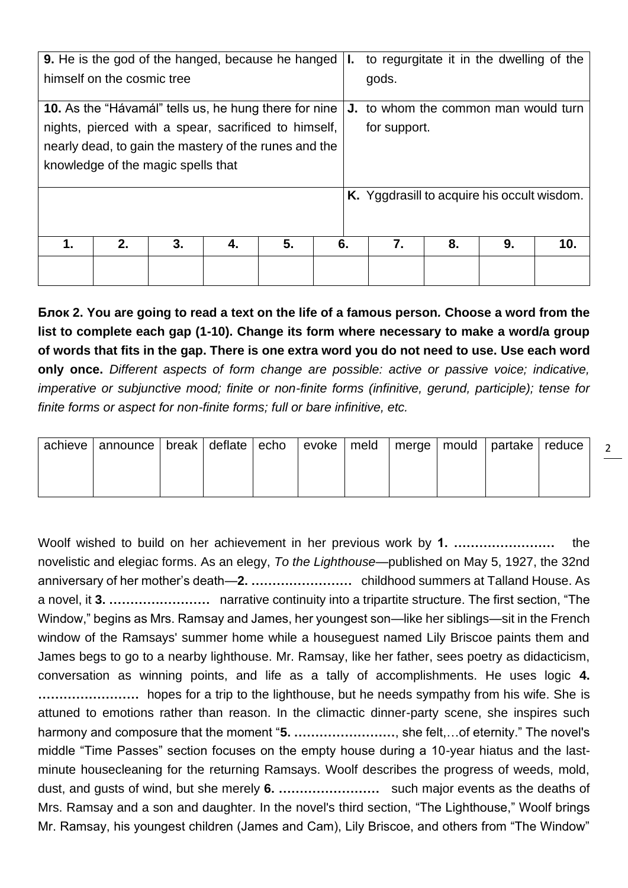| 9. He is the god of the hanged, because he hanged            |                                                       |    |    |    |    | Ъ.           | to regurgitate it in the dwelling of the    |    |    |     |  |
|--------------------------------------------------------------|-------------------------------------------------------|----|----|----|----|--------------|---------------------------------------------|----|----|-----|--|
| himself on the cosmic tree                                   |                                                       |    |    |    |    | gods.        |                                             |    |    |     |  |
| <b>10.</b> As the "Hávamál" tells us, he hung there for nine |                                                       |    |    |    |    |              | <b>J.</b> to whom the common man would turn |    |    |     |  |
| nights, pierced with a spear, sacrificed to himself,         |                                                       |    |    |    |    | for support. |                                             |    |    |     |  |
|                                                              | nearly dead, to gain the mastery of the runes and the |    |    |    |    |              |                                             |    |    |     |  |
| knowledge of the magic spells that                           |                                                       |    |    |    |    |              |                                             |    |    |     |  |
|                                                              |                                                       |    |    |    |    |              | K. Yggdrasill to acquire his occult wisdom. |    |    |     |  |
|                                                              |                                                       |    |    |    |    |              |                                             |    |    |     |  |
|                                                              |                                                       |    |    |    |    |              |                                             |    |    |     |  |
| 1.                                                           | 2.                                                    | 3. | 4. | 5. | 6. |              | 7.                                          | 8. | 9. | 10. |  |
|                                                              |                                                       |    |    |    |    |              |                                             |    |    |     |  |
|                                                              |                                                       |    |    |    |    |              |                                             |    |    |     |  |

**Блок 2. You are going to read a text on the life of a famous person***.* **Choose a word from the list to complete each gap (1-10). Change its form where necessary to make a word/a group of words that fits in the gap. There is one extra word you do not need to use. Use each word only once.** *Different aspects of form change are possible: active or passive voice; indicative, imperative or subjunctive mood; finite or non-finite forms (infinitive, gerund, participle); tense for finite forms or aspect for non-finite forms; full or bare infinitive, etc.*

| achieve   announce   break   deflate   echo   evoke   meld   merge   mould   partake   reduce |  |  |  |  |  |
|-----------------------------------------------------------------------------------------------|--|--|--|--|--|
|                                                                                               |  |  |  |  |  |
|                                                                                               |  |  |  |  |  |

 $\mathcal{L}$ 

Woolf wished to build on her achievement in her previous work by **1. ……………………** the novelistic and elegiac forms. As an elegy, *To the Lighthouse*—published on May 5, 1927, the 32nd anniversary of her mother's death—**2. ……………………** childhood summers at Talland House. As a novel, it **3. ……………………** narrative continuity into a tripartite structure. The first section, "The Window," begins as Mrs. Ramsay and James, her youngest son—like her siblings—sit in the French window of the Ramsays' summer home while a houseguest named Lily Briscoe paints them and James begs to go to a nearby lighthouse. Mr. Ramsay, like her father, sees poetry as didacticism, conversation as winning points, and life as a tally of accomplishments. He uses logic **4. ……………………** hopes for a trip to the lighthouse, but he needs sympathy from his wife. She is attuned to emotions rather than reason. In the climactic dinner-party scene, she inspires such harmony and composure that the moment "**5. ……………………**, she felt,…of eternity." The novel's middle "Time Passes" section focuses on the empty house during a 10-year hiatus and the lastminute housecleaning for the returning Ramsays. Woolf describes the progress of weeds, mold, dust, and gusts of wind, but she merely **6. ……………………** such major events as the deaths of Mrs. Ramsay and a son and daughter. In the novel's third section, "The Lighthouse," Woolf brings Mr. Ramsay, his youngest children (James and Cam), Lily Briscoe, and others from "The Window"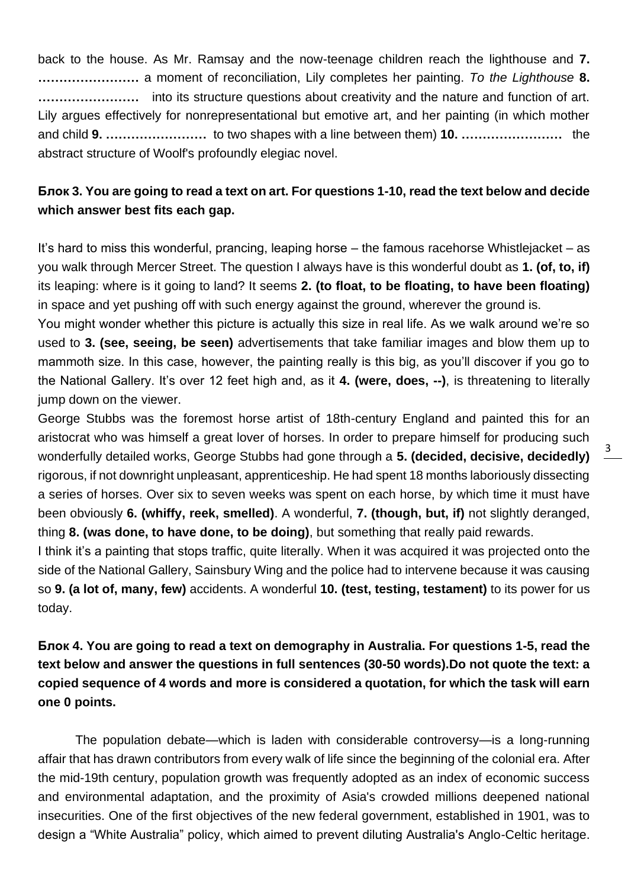back to the house. As Mr. Ramsay and the now-teenage children reach the lighthouse and **7. ……………………** a moment of reconciliation, Lily completes her painting. *To the Lighthouse* **8. ……………………** into its structure questions about creativity and the nature and function of art. Lily argues effectively for nonrepresentational but emotive art, and her painting (in which mother and child **9. ……………………** to two shapes with a line between them) **10. ……………………** the abstract structure of Woolf's profoundly elegiac novel.

# **Блок 3. You are going to read a text on art. For questions 1-10, read the text below and decide which answer best fits each gap.**

It's hard to miss this wonderful, prancing, leaping horse – the famous racehorse Whistlejacket – as you walk through Mercer Street. The question I always have is this wonderful doubt as **1. (of, to, if)**  its leaping: where is it going to land? It seems **2. (to float, to be floating, to have been floating)**  in space and yet pushing off with such energy against the ground, wherever the ground is.

You might wonder whether this picture is actually this size in real life. As we walk around we're so used to **3. (see, seeing, be seen)** advertisements that take familiar images and blow them up to mammoth size. In this case, however, the painting really is this big, as you'll discover if you go to the National Gallery. It's over 12 feet high and, as it **4. (were, does, --)**, is threatening to literally jump down on the viewer.

George Stubbs was the foremost horse artist of 18th-century England and painted this for an aristocrat who was himself a great lover of horses. In order to prepare himself for producing such wonderfully detailed works, George Stubbs had gone through a **5. (decided, decisive, decidedly)** rigorous, if not downright unpleasant, apprenticeship. He had spent 18 months laboriously dissecting a series of horses. Over six to seven weeks was spent on each horse, by which time it must have been obviously **6. (whiffy, reek, smelled)**. A wonderful, **7. (though, but, if)** not slightly deranged, thing **8. (was done, to have done, to be doing)**, but something that really paid rewards.

I think it's a painting that stops traffic, quite literally. When it was acquired it was projected onto the side of the National Gallery, Sainsbury Wing and the police had to intervene because it was causing so **9. (a lot of, many, few)** accidents. A wonderful **10. (test, testing, testament)** to its power for us today.

**Блок 4. You are going to read a text on demography in Australia. For questions 1-5, read the text below and answer the questions in full sentences (30-50 words).Do not quote the text: a copied sequence of 4 words and more is considered a quotation, for which the task will earn one 0 points.**

The population debate—which is laden with considerable controversy—is a long-running affair that has drawn contributors from every walk of life since the beginning of the colonial era. After the mid-19th century, population growth was frequently adopted as an index of economic success and environmental adaptation, and the proximity of Asia's crowded millions deepened national insecurities. One of the first objectives of the new federal government, established in 1901, was to design a "White Australia" policy, which aimed to prevent diluting Australia's Anglo-Celtic heritage.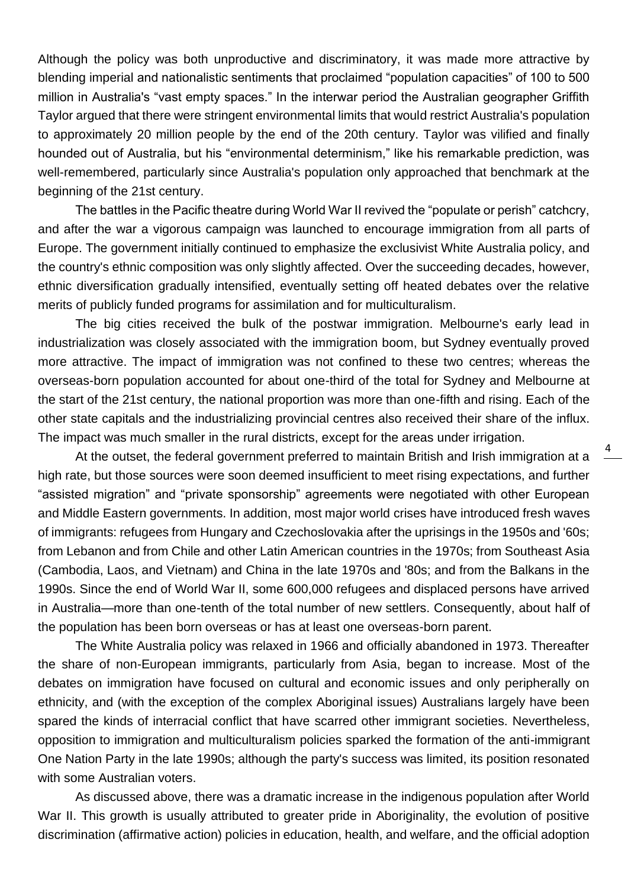Although the policy was both unproductive and discriminatory, it was made more attractive by blending imperial and nationalistic sentiments that proclaimed "population capacities" of 100 to 500 million in Australia's "vast empty spaces." In the interwar period the Australian geographer Griffith Taylor argued that there were stringent environmental limits that would restrict Australia's population to approximately 20 million people by the end of the 20th century. Taylor was vilified and finally hounded out of Australia, but his "environmental determinism," like his remarkable prediction, was well-remembered, particularly since Australia's population only approached that benchmark at the beginning of the 21st century.

The battles in the Pacific theatre during World War II revived the "populate or perish" catchcry, and after the war a vigorous campaign was launched to encourage immigration from all parts of Europe. The government initially continued to emphasize the exclusivist White Australia policy, and the country's ethnic composition was only slightly affected. Over the succeeding decades, however, ethnic diversification gradually intensified, eventually setting off heated debates over the relative merits of publicly funded programs for assimilation and for multiculturalism.

The big cities received the bulk of the postwar immigration. Melbourne's early lead in industrialization was closely associated with the immigration boom, but Sydney eventually proved more attractive. The impact of immigration was not confined to these two centres; whereas the overseas-born population accounted for about one-third of the total for Sydney and Melbourne at the start of the 21st century, the national proportion was more than one-fifth and rising. Each of the other state capitals and the industrializing provincial centres also received their share of the influx. The impact was much smaller in the rural districts, except for the areas under irrigation.

At the outset, the federal government preferred to maintain British and Irish immigration at a high rate, but those sources were soon deemed insufficient to meet rising expectations, and further "assisted migration" and "private sponsorship" agreements were negotiated with other European and Middle Eastern governments. In addition, most major world crises have introduced fresh waves of immigrants: refugees from Hungary and Czechoslovakia after the uprisings in the 1950s and '60s; from Lebanon and from Chile and other Latin American countries in the 1970s; from Southeast Asia (Cambodia, Laos, and Vietnam) and China in the late 1970s and '80s; and from the Balkans in the 1990s. Since the end of World War II, some 600,000 refugees and displaced persons have arrived in Australia—more than one-tenth of the total number of new settlers. Consequently, about half of the population has been born overseas or has at least one overseas-born parent.

The White Australia policy was relaxed in 1966 and officially abandoned in 1973. Thereafter the share of non-European immigrants, particularly from Asia, began to increase. Most of the debates on immigration have focused on cultural and economic issues and only peripherally on ethnicity, and (with the exception of the complex Aboriginal issues) Australians largely have been spared the kinds of interracial conflict that have scarred other immigrant societies. Nevertheless, opposition to immigration and multiculturalism policies sparked the formation of the anti-immigrant One Nation Party in the late 1990s; although the party's success was limited, its position resonated with some Australian voters.

As discussed above, there was a dramatic increase in the indigenous population after World War II. This growth is usually attributed to greater pride in Aboriginality, the evolution of positive discrimination (affirmative action) policies in education, health, and welfare, and the official adoption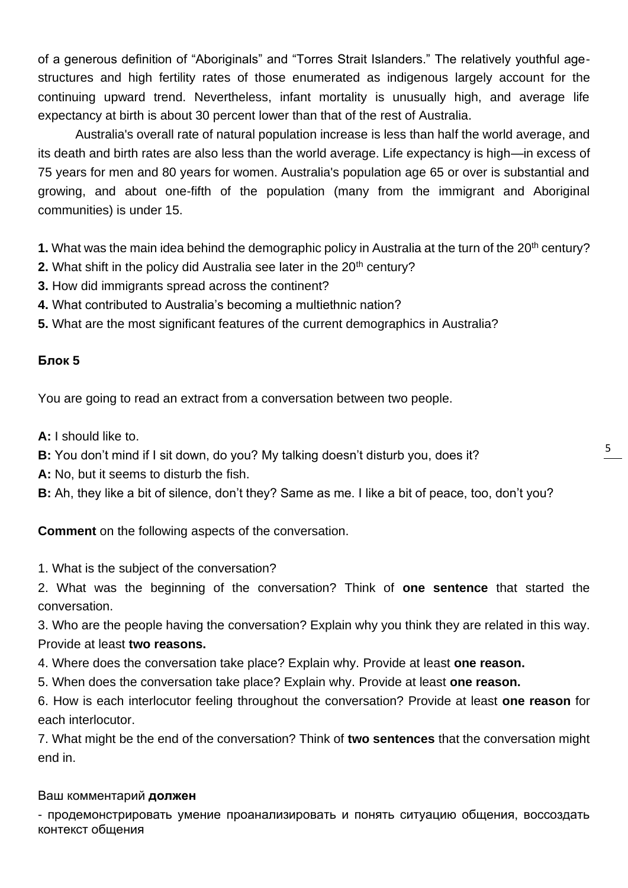of a generous definition of "Aboriginals" and "Torres Strait Islanders." The relatively youthful agestructures and high fertility rates of those enumerated as indigenous largely account for the continuing upward trend. Nevertheless, infant mortality is unusually high, and average life expectancy at birth is about 30 percent lower than that of the rest of Australia.

Australia's overall rate of natural population increase is less than half the world average, and its death and birth rates are also less than the world average. Life expectancy is high—in excess of 75 years for men and 80 years for women. Australia's population age 65 or over is substantial and growing, and about one-fifth of the population (many from the immigrant and Aboriginal communities) is under 15.

**1.** What was the main idea behind the demographic policy in Australia at the turn of the 20<sup>th</sup> century?

- **2.** What shift in the policy did Australia see later in the 20<sup>th</sup> century?
- **3.** How did immigrants spread across the continent?
- **4.** What contributed to Australia's becoming a multiethnic nation?
- **5.** What are the most significant features of the current demographics in Australia?

## **Блок 5**

You are going to read an extract from a conversation between two people.

**A:** I should like to.

**B:** You don't mind if I sit down, do you? My talking doesn't disturb you, does it?

- **A:** No, but it seems to disturb the fish.
- **B:** Ah, they like a bit of silence, don't they? Same as me. I like a bit of peace, too, don't you?

**Comment** on the following aspects of the conversation.

1. What is the subject of the conversation?

2. What was the beginning of the conversation? Think of **one sentence** that started the conversation.

3. Who are the people having the conversation? Explain why you think they are related in this way. Provide at least **two reasons.** 

4. Where does the conversation take place? Explain why. Provide at least **one reason.** 

5. When does the conversation take place? Explain why. Provide at least **one reason.** 

6. How is each interlocutor feeling throughout the conversation? Provide at least **one reason** for each interlocutor.

7. What might be the end of the conversation? Think of **two sentences** that the conversation might end in.

## Ваш комментарий **должен**

- продемонстрировать умение проанализировать и понять ситуацию общения, воссоздать контекст общения